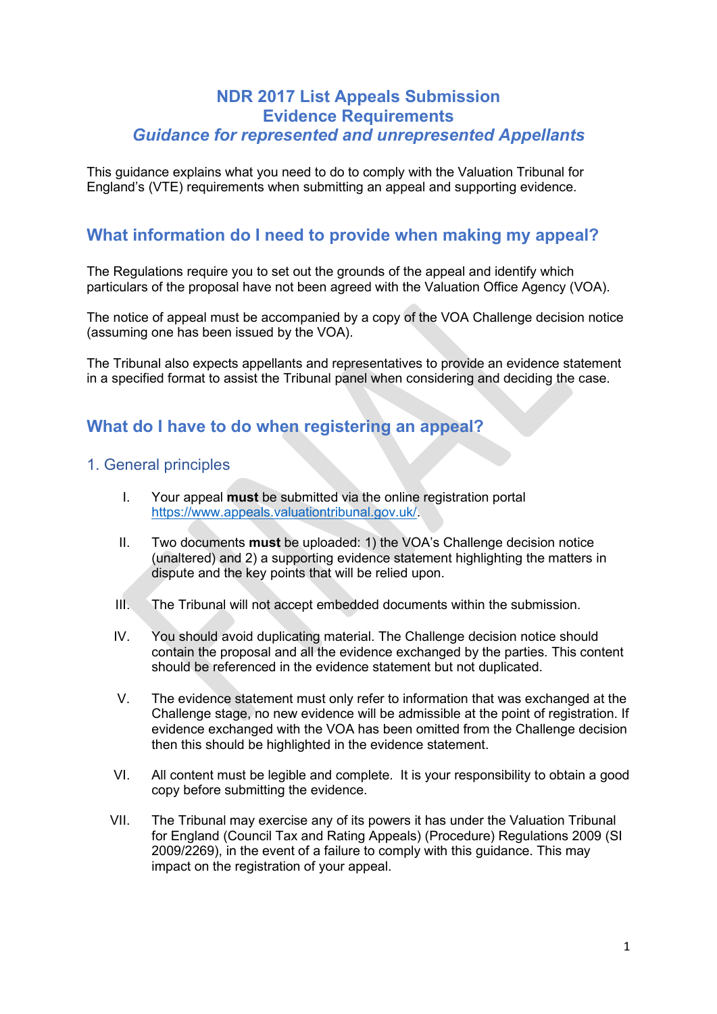## **NDR 2017 List Appeals Submission Evidence Requirements** *Guidance for represented and unrepresented Appellants*

This guidance explains what you need to do to comply with the Valuation Tribunal for England's (VTE) requirements when submitting an appeal and supporting evidence.

# **What information do I need to provide when making my appeal?**

The Regulations require you to set out the grounds of the appeal and identify which particulars of the proposal have not been agreed with the Valuation Office Agency (VOA).

The notice of appeal must be accompanied by a copy of the VOA Challenge decision notice (assuming one has been issued by the VOA).

The Tribunal also expects appellants and representatives to provide an evidence statement in a specified format to assist the Tribunal panel when considering and deciding the case.

### **What do I have to do when registering an appeal?**

#### 1. General principles

- I. Your appeal **must** be submitted via the online registration portal [https://www.appeals.valuationtribunal.gov.uk/.](https://www.appeals.valuationtribunal.gov.uk/)
- II. Two documents **must** be uploaded: 1) the VOA's Challenge decision notice (unaltered) and 2) a supporting evidence statement highlighting the matters in dispute and the key points that will be relied upon.
- III. The Tribunal will not accept embedded documents within the submission.
- IV. You should avoid duplicating material. The Challenge decision notice should contain the proposal and all the evidence exchanged by the parties. This content should be referenced in the evidence statement but not duplicated.
- V. The evidence statement must only refer to information that was exchanged at the Challenge stage, no new evidence will be admissible at the point of registration. If evidence exchanged with the VOA has been omitted from the Challenge decision then this should be highlighted in the evidence statement.
- VI. All content must be legible and complete. It is your responsibility to obtain a good copy before submitting the evidence.
- VII. The Tribunal may exercise any of its powers it has under the Valuation Tribunal for England (Council Tax and Rating Appeals) (Procedure) Regulations 2009 (SI 2009/2269), in the event of a failure to comply with this guidance. This may impact on the registration of your appeal.